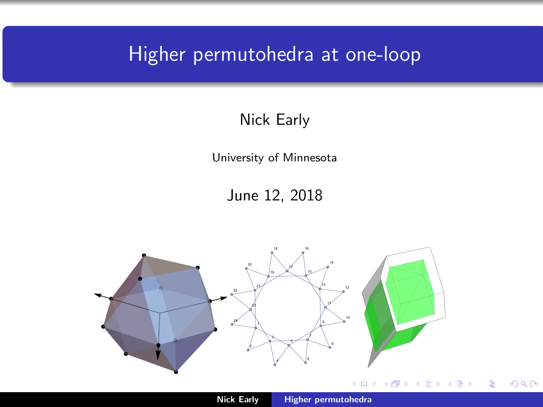## <span id="page-0-0"></span>Higher permutohedra at one-loop

#### Nick Early

University of Minnesota

June 12, 2018

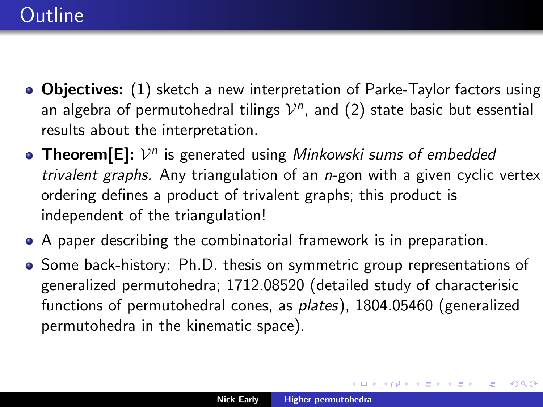- Objectives: (1) sketch a new interpretation of Parke-Taylor factors using an algebra of permutohedral tilings  $\mathcal{V}^n$ , and (2) state basic but essential results about the interpretation.
- **Theorem**[E]:  $V^n$  is generated using Minkowski sums of embedded trivalent graphs. Any triangulation of an n-gon with a given cyclic vertex ordering defines a product of trivalent graphs; this product is independent of the triangulation!
- A paper describing the combinatorial framework is in preparation.
- Some back-history: Ph.D. thesis on symmetric group representations of generalized permutohedra; 1712.08520 (detailed study of characterisic functions of permutohedral cones, as plates), 1804.05460 (generalized permutohedra in the kinematic space).

K ロ ▶ K 御 ▶ K 唐 ▶ K 唐

つくい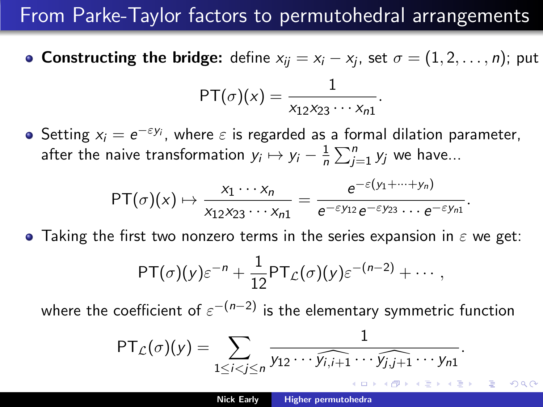## From Parke-Taylor factors to permutohedral arrangements

- **Constructing the bridge:** define  $x_{ij} = x_i x_j$ , set  $\sigma = (1, 2, \ldots, n)$ ; put  $\mathsf{PT}(\sigma)(x) = \frac{1}{\sigma(x)}$  $\frac{1}{x_{12}x_{23}\cdots x_{n1}}$ .
- Setting  $x_i = e^{-\varepsilon y_i}$ , where  $\varepsilon$  is regarded as a formal dilation parameter, after the naive transformation  $y_i \mapsto y_i - \frac{1}{n}$  $\frac{1}{n}\sum_{j=1}^n y_j$  we have...

$$
\mathsf{PT}(\sigma)(x) \mapsto \frac{x_1 \cdots x_n}{x_{12} x_{23} \cdots x_{n1}} = \frac{e^{-\varepsilon(y_1 + \cdots + y_n)}}{e^{-\varepsilon y_{12}} e^{-\varepsilon y_{23}} \cdots e^{-\varepsilon y_{n1}}}.
$$

**•** Taking the first two nonzero terms in the series expansion in  $\varepsilon$  we get:

$$
\mathsf{PT}(\sigma)(y)\varepsilon^{-n}+\frac{1}{12}\mathsf{PT}_{\mathcal{L}}(\sigma)(y)\varepsilon^{-(n-2)}+\cdots,
$$

where the coefficient of  $\varepsilon^{-(n-2)}$  is the elementary symmetric function

$$
\mathsf{PT}_{\mathcal{L}}(\sigma)(y) = \sum_{1 \leq i < j \leq n} \frac{1}{y_{12} \cdots \widehat{y_{i,j+1}} \cdots \widehat{y_{j,j+1}} \cdots y_{n1}}.
$$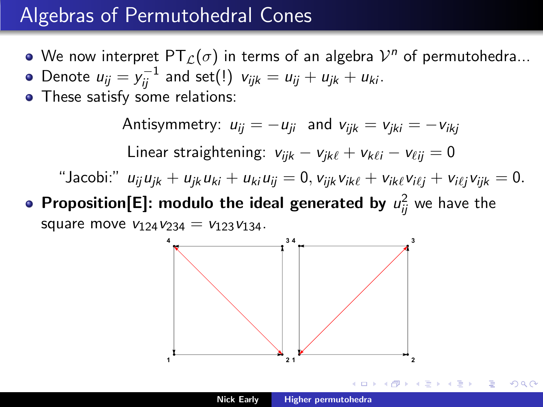#### Algebras of Permutohedral Cones

- We now interpret  $\mathsf{PT}_{\mathcal{L}}(\sigma)$  in terms of an algebra  $\mathcal{V}^n$  of permutohedra...
- Denote  $u_{ij} = y_{ij}^{-1}$  and set $(!)$   $v_{ijk} = u_{ij} + u_{jk} + u_{ki}$ .
- These satisfy some relations:

Antisymmetry:  $u_{ii} = -u_{ii}$  and  $v_{iik} = v_{iki} = -v_{iki}$ Linear straightening:  $v_{ijk} - v_{ik\ell} + v_{k\ell i} - v_{\ell ii} = 0$ "Jacobi:"  $u_{ii}u_{jk} + u_{jk}u_{ki} + u_{ki}u_{ji} = 0$ ,  $v_{ijk}v_{ik\ell} + v_{ik\ell}v_{i\ell i} + v_{i\ell i}v_{ijk} = 0$ .

**Proposition[E]: modulo the ideal generated by**  $u_{ij}^2$  we have the square move  $v_{124}v_{234} = v_{123}v_{134}$ .



つくい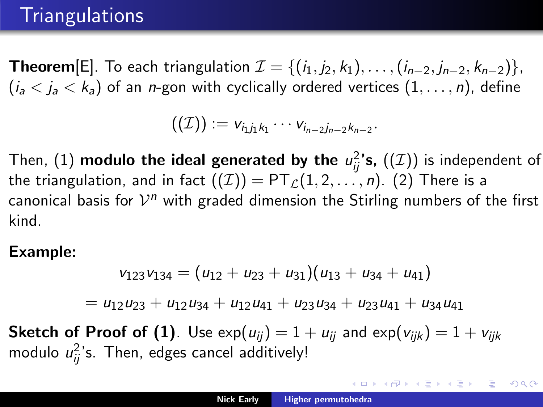## **Triangulations**

**Theorem**[E]. To each triangulation  $\mathcal{I} = \{(i_1, j_2, k_1), \ldots, (i_{n-2}, j_{n-2}, k_{n-2})\},\$  $(i_a < i_a < k_a)$  of an *n*-gon with cyclically ordered vertices  $(1, \ldots, n)$ , define

$$
((\mathcal{I})):=v_{i_1j_1k_1}\cdots v_{i_{n-2}j_{n-2}k_{n-2}}.
$$

Then,  $(1)$  modulo the ideal generated by the  $u_{ij}^2$ 's,  $((\mathcal{I}))$  is independent of the triangulation, and in fact  $((\mathcal{I})) = PT_{\mathcal{L}}(1, 2, ..., n)$ . (2) There is a canonical basis for  $\mathcal{V}^n$  with graded dimension the Stirling numbers of the first kind.

#### Example:

$$
v_{123}v_{134}=(u_{12}+u_{23}+u_{31})(u_{13}+u_{34}+u_{41})
$$

 $=$   $u_{12}u_{23} + u_{12}u_{34} + u_{12}u_{41} + u_{23}u_{34} + u_{23}u_{41} + u_{34}u_{41}$ 

**Sketch of Proof of (1)**. Use  $\exp(u_{ii}) = 1 + u_{ii}$  and  $\exp(v_{iik}) = 1 + v_{iik}$ modulo  $u_{ij}^2$ 's. Then, edges cancel additively!

イロン イ団 メイミン イモンド (型)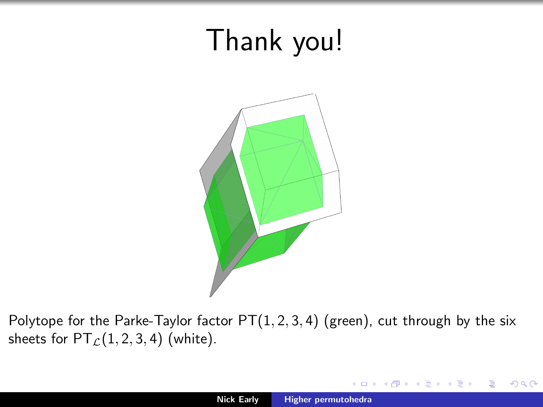# Thank you!



Polytope for the Parke-Taylor factor  $PT(1, 2, 3, 4)$  (green), cut through by the six sheets for  $PT$ <sub> $C$ </sub> $(1, 2, 3, 4)$  (white).